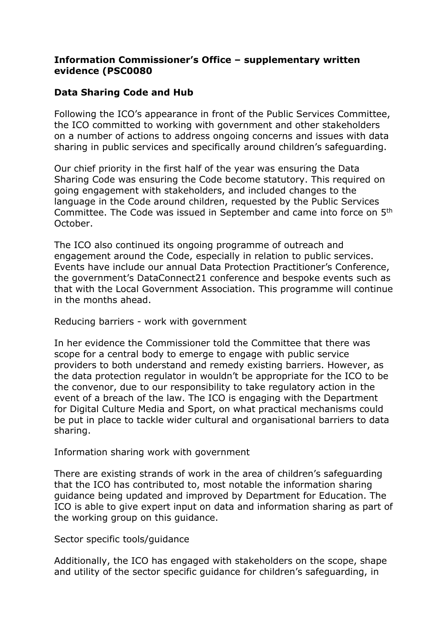## **Information Commissioner's Office – supplementary written evidence (PSC0080**

## **Data Sharing Code and Hub**

Following the ICO's appearance in front of the Public Services Committee, the ICO committed to working with government and other stakeholders on a number of actions to address ongoing concerns and issues with data sharing in public services and specifically around children's safeguarding.

Our chief priority in the first half of the year was ensuring the Data Sharing Code was ensuring the Code become statutory. This required on going engagement with stakeholders, and included changes to the language in the Code around children, requested by the Public Services Committee. The Code was issued in September and came into force on 5th October.

The ICO also continued its ongoing programme of outreach and engagement around the Code, especially in relation to public services. Events have include our annual Data Protection Practitioner's Conference, the government's DataConnect21 conference and bespoke events such as that with the Local Government Association. This programme will continue in the months ahead.

Reducing barriers - work with government

In her evidence the Commissioner told the Committee that there was scope for a central body to emerge to engage with public service providers to both understand and remedy existing barriers. However, as the data protection regulator in wouldn't be appropriate for the ICO to be the convenor, due to our responsibility to take regulatory action in the event of a breach of the law. The ICO is engaging with the Department for Digital Culture Media and Sport, on what practical mechanisms could be put in place to tackle wider cultural and organisational barriers to data sharing.

Information sharing work with government

There are existing strands of work in the area of children's safeguarding that the ICO has contributed to, most notable the information sharing guidance being updated and improved by Department for Education. The ICO is able to give expert input on data and information sharing as part of the working group on this guidance.

Sector specific tools/guidance

Additionally, the ICO has engaged with stakeholders on the scope, shape and utility of the sector specific guidance for children's safeguarding, in